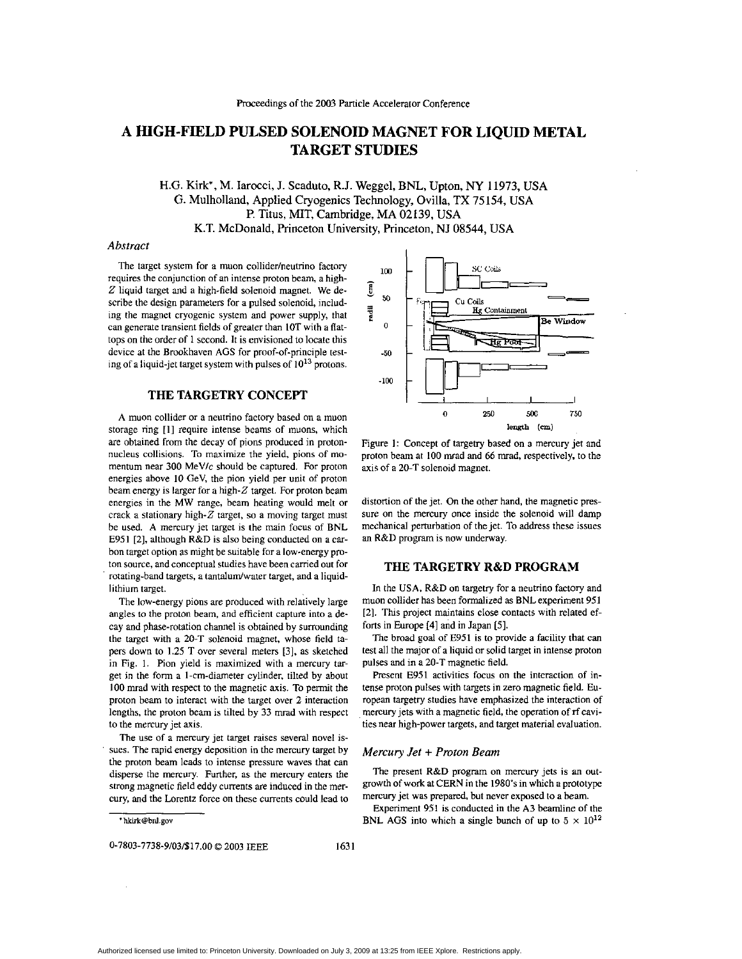# **A HIGH-FIELD PULSED SOLENOID MAGNET FOR LIQUID METAL TARGET STUDIES**

# H.G. Kirk', M. Iarocci, J. Scaduto, R.J. Weggel, BNL, Upton, **NY 11973,** USA G. Mulholland, Applied Cryogenics Technology, Ovilla, **TX 75154, USA**  P. Titus, MIT, Cambridge, MA **02139,** USA **K.T.** McDonald, Princeton University, Princeton, **NJ** 08544, USA

#### *Abstract*

The target system for a muon collider/neutrino factory requires the conjunction of **an** intense proton beam, **a** high-Z liquid target and a high-field solenoid magnet. We describe the design parameters for **a** pulsed solenoid, including the magnet cryogenic system and power supply, that can generate transient fields of greater than IOT with a flattops on the order of 1 second. It is envisioned to locate this device at the Brookhaven **AGS** for proof-of-principle testing of a liquid-jet target system with pulses of 10<sup>13</sup> protons.

# **THE TARGETRY CONCEPT**

**A** muon collider or **a** neutrino factory based on a muon storage ring **[I]** require intense beams of muons, which are obtained from the decay of pions produced in protonnucleus collisions. To maximize the yield, pions of momentum near  $300$  MeV/ $c$  should be captured. For proton energies above **10** GeV, the pion yield per unit of proton beam energy is larger for a high-Z target. For proton beam energies in the MW range, beam heating would melt or crack **a** stationary high-Z target, *so* **a** moving target must be used. A mercury jet target is the **main** focus of BNL E95 I [Z], although R&D is also being conducted on **a** carbon target option as might he suitable for **a** low-energy proton source, and conceptual studies have been carried out for rotating-band targets, a tantalum/water target, and a liquidlithium target.

The low-energy pions are produced with relatively large angles to the proton beam, and efficient capture into **a** decay and phase-rotation channel is obtained by surrounding the target with **a** 20-T solenoid magnet, whose field tapers down to 1.25 T over several meters (31, **as** sketched in Fig. 1. Pion yield is maximized with a mercury target in the form **a** I-cm-diameter cylinder, tilted by about 100 mrad with respect to the magnetic axis. To permit the proton beam to interact with the target over **2** interaction lengths, the proton beam is tilted by 33 mrad with respect to the mercury jet axis.

The use of **a** mercury jet target raises several novel issues. The rapid energy deposition in the mercury target **by**  the proton beam leads to intense pressure waves that can disperse the mercury. Further, as the mercury enters the strong magnetic field eddy currents are induced in the mercury, and the Lorentz force on these currents could lead to



Figure 1: Concept of targetry based on a mercury jet and proton beam at 100 mrad and 66 mrad, respectively, to the axis of a 20-T solenoid magnet.

distortion **of** the jet. On the other hand, the magnetic pressure on the mercury once inside the solenoid will damp mechanical perturbation of the jet. To **address** these issues an R&D program is now underway.

# **THE TARGETRY R&D PROGRAM**

In the USA, R&D on targetry for a neutrino factory and muon collider has been formalized **as** BNL experiment 951 [2]. This project maintains close contacts with related efforts in Europe [41 and in Japan **[51.** 

The broad goal of **E951** is to provide **a** facility that can test all the major of a liquid or solid target in intense proton pulses and in **a** 20-T magnetic field.

Present **E951** activities focus on the interaction of intense proton pulses with targets in zero magnetic field. European targetry studies have emphasized the interaction of mercury jets with **a** magnetic field, the operation of **rf** cavities near high-power targets, and target material evaluation.

#### *Mercury Jet* + *Proton Beam*

The present R&D program on mercury jets is **an** outgrowth of work at CERN in the **1980's** in which a prototype mercury jet was prepared, but never exposed to **a** beam.

Experiment 951 is conducted in the A3 beamline of the BNL AGS into which a single bunch of up to  $5 \times 10^{12}$ 

**[<sup>&#</sup>x27;h!4rk@bnl.gov](mailto:h!4rk@bnl.gov)**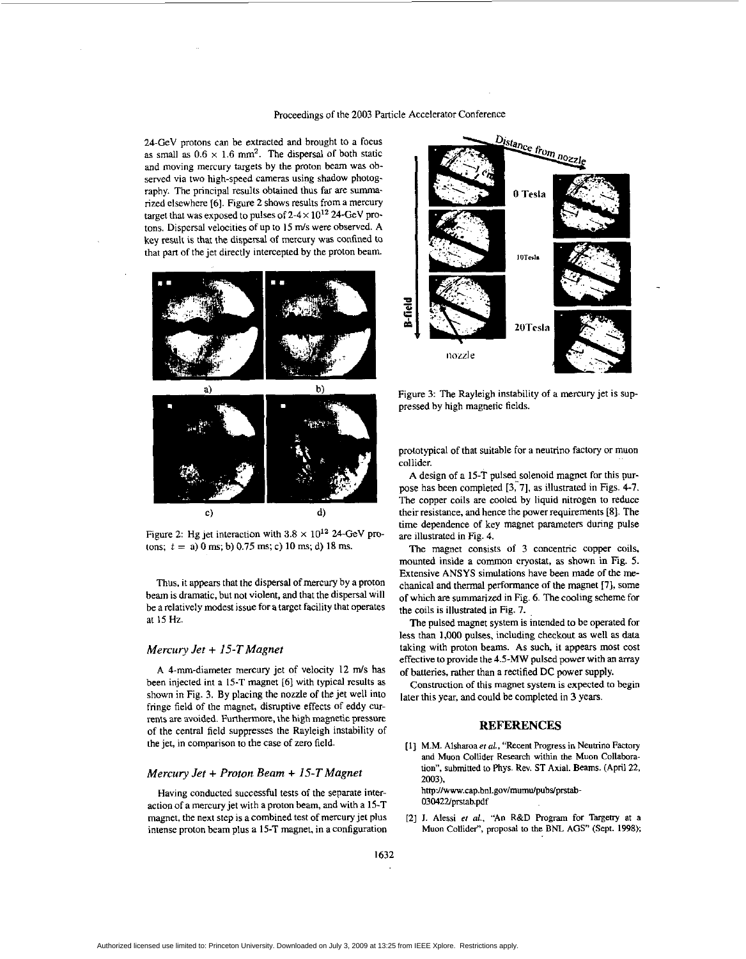#### Proceedings of the **2003** Particle Accelerator Conference

24-GeV protons can be extracted and brought to a focus as small as  $0.6 \times 1.6$  mm<sup>2</sup>. The dispersal of both static and moving mercury targets by the proton beam was ohserved via two high-speed cameras using shadow photography. The principal results obtained thus far are summarized elsewhere (61. Figure 2 shows results from a mercury target that was exposed to pulses of  $2-4 \times 10^{12}$  24-GeV protons. Dispersal velocities of up to 15 m/s were observed. A key result is that the dispersal of mercury was confined to that part of the jet directly intercepted by the proton beam.



Figure 2: Hg jet interaction with  $3.8 \times 10^{12}$  24-GeV protons; *t* = a) 0 ms; **b)** 0.75 **ms;** c) 10 **ms;** d) 18 ms.

Thus. it appears that the dispenal of **mercury** by a proton beam is dramatic. but not violent, and that the dispersal will be a relatively modest issue for a target facility that operates at 15 Hz.

### *Mercury Jet* + *15-T Magnet*

**A** 4-mm-diameter mercury jet of velocity 12 **m/s** has been injected int a **15-T** magnet [61 with typical results as shown in Fig. **3.** By placing the nozzle of the jet well into fringe field of the magnet, disruptive effects of eddy currents are avoided. Furthermore, the high magnetic pressure of the central field suppresses the Rayleigh instability of the jet, in comparison to the case of zero field.

#### *Mercury Jet* + *Proton Beam* + *15-T Magnet*

Having conducted successful tests of the separate interaction of a mercury jet with a proton beam, and with a 15-T magnet, the next step is a combined test of mercury jet plus intense proton beam plus a 15-T magnet, in a configuration



Figure 3: The Rayleigh instability of a mercury jet is suppressed by high magnetic fields.

prototypical of that suitable for a neutrino factory or muon collider.

**A** design of a 15-T pulsed solenoid magnet for **this** purpose has been completed **[3;7],** as illustrated in Figs. 4-7. The copper coils are cooled by liquid nitrogen to reduce their resistance, and hence the power requirements [El. The time dependence of key magnet parameters **during** pulse are illustrated in Fig. 4.

The magnet consists of **3** concentric copper coils. mounted inside a common cryostat, **as** shown in Fig. *5.*  Extensive ANSYS simulations have been made of the mechanical and thermal performance of the magnet **171,** some of which **are** summarized in [Fig. 6.](#page-2-0) The cooling scheme for the coils is illustrated in [Fig.](#page-2-0) **7.** 

The pulsed magnet system is intended to be operated for less than **1,ooO** pulses, including checkout **as** well **as** data taking with proton beams. As such, it appears most cost effective to provide the 4.5-MW pulsed power with **an** array of batteries, rather than a rectified DC power supply.

Construction of this magnet system is expected to hegin later this year, and could be completed in 3 years.

## **REFERENCES**

- [ 11 **M.M.** Alsharaa er *ai.,* "Recent Progress in Neuuino Factory **and Muon Collider** Research **within** the **Muon** Collaboration", submitted to Phys. Rev. **ST** Axial. Beams. (April 22, **2003).**  http://www.cap.bnl.gov/mumu/pubs/prstab-03042Zprstab.pdf
- **[2] 1.** Alessi er *al.,* **"An** R%D **Rogram** for **Targetry** at **a Muon** Collide?, proposal to the BNL **AGS"** (Sept. **1998):**

1632